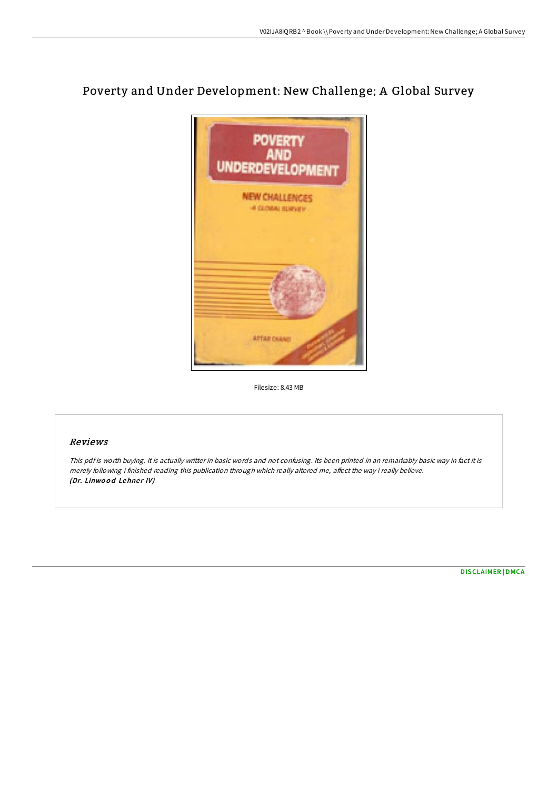# Poverty and Under Development: New Challenge; A Global Survey



Filesize: 8.43 MB

# Reviews

This pdf is worth buying. It is actually writter in basic words and not confusing. Its been printed in an remarkably basic way in fact it is merely following i finished reading this publication through which really altered me, affect the way i really believe. (Dr. Linwood Lehner IV)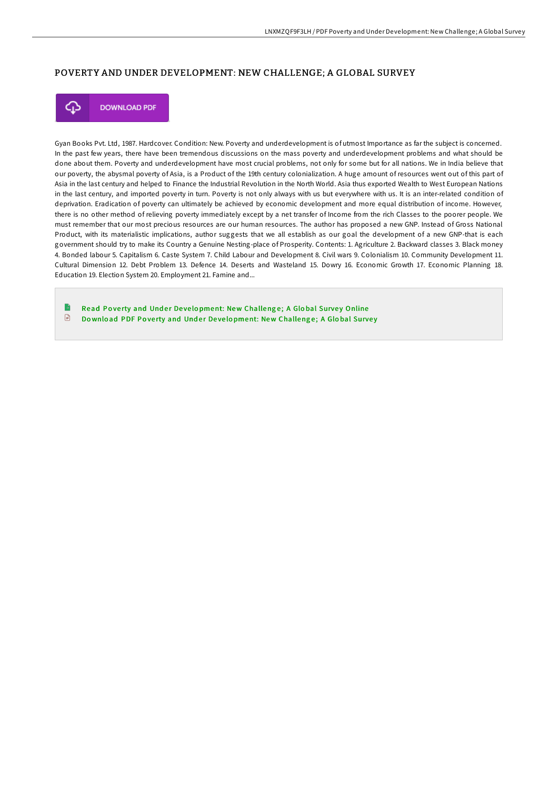## POVERTY AND UNDER DEVELOPMENT: NEW CHALLENGE; A GLOBAL SURVEY



**DOWNLOAD PDF** 

Gyan Books Pvt. Ltd, 1987. Hardcover. Condition: New. Poverty and underdevelopment is of utmost Importance as far the subject is concerned. In the past few years, there have been tremendous discussions on the mass poverty and underdevelopment problems and what should be done about them. Poverty and underdevelopment have most crucial problems, not only for some but for all nations. We in India believe that our poverty, the abysmal poverty of Asia, is a Product of the 19th century colonialization. A huge amount of resources went out of this part of Asia in the last century and helped to Finance the Industrial Revolution in the North World. Asia thus exported Wealth to West European Nations in the last century, and imported poverty in turn. Poverty is not only always with us but everywhere with us. It is an inter-related condition of deprivation. Eradication of poverty can ultimately be achieved by economic development and more equal distribution of income. However, there is no other method of relieving poverty immediately except by a net transfer of Income from the rich Classes to the poorer people. We must remember that our most precious resources are our human resources. The author has proposed a new GNP. Instead of Gross National Product, with its materialistic implications, author suggests that we all establish as our goal the development of a new GNP-that is each government should try to make its Country a Genuine Nesting-place of Prosperity. Contents: 1. Agriculture 2. Backward classes 3. Black money 4. Bonded labour 5. Capitalism 6. Caste System 7. Child Labour and Development 8. Civil wars 9. Colonialism 10. Community Development 11. Cultural Dimension 12. Debt Problem 13. Defence 14. Deserts and Wasteland 15. Dowry 16. Economic Growth 17. Economic Planning 18. Education 19. Election System 20. Employment 21. Famine and...

Read Poverty and Under Development: New [Challeng](http://almighty24.tech/poverty-and-under-development-new-challenge-a-gl.html)e; A Global Survey Online  $\mathbb{R}$ Download PDF Poverty and Under Development: New [Challeng](http://almighty24.tech/poverty-and-under-development-new-challenge-a-gl.html)e; A Global Survey